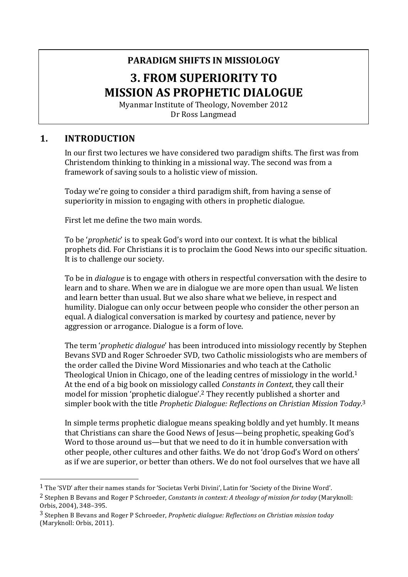# **PARADIGM SHIFTS IN MISSIOLOGY 3. FROM SUPERIORITY TO MISSION AS PROPHETIC DIALOGUE**

Myanmar Institute of Theology, November 2012 Dr Ross Langmead

### **1. INTRODUCTION**

 

In our first two lectures we have considered two paradigm shifts. The first was from Christendom thinking to thinking in a missional way. The second was from a framework of saving souls to a holistic view of mission.

Today we're going to consider a third paradigm shift, from having a sense of superiority in mission to engaging with others in prophetic dialogue.

First let me define the two main words.

To be '*prophetic*' is to speak God's word into our context. It is what the biblical prophets did. For Christians it is to proclaim the Good News into our specific situation. It is to challenge our society.

To be in *dialogue* is to engage with others in respectful conversation with the desire to learn and to share. When we are in dialogue we are more open than usual. We listen and learn better than usual. But we also share what we believe, in respect and humility. Dialogue can only occur between people who consider the other person an equal. A dialogical conversation is marked by courtesy and patience, never by aggression or arrogance. Dialogue is a form of love.

The term *'prophetic dialogue'* has been introduced into missiology recently by Stephen Bevans SVD and Roger Schroeder SVD, two Catholic missiologists who are members of the order called the Divine Word Missionaries and who teach at the Catholic Theological Union in Chicago, one of the leading centres of missiology in the world.<sup>1</sup> At the end of a big book on missiology called *Constants in Context*, they call their model for mission 'prophetic dialogue'.<sup>2</sup> They recently published a shorter and simpler book with the title *Prophetic Dialogue: Reflections on Christian Mission Today*.<sup>3</sup>

In simple terms prophetic dialogue means speaking boldly and yet humbly. It means that Christians can share the Good News of Jesus—being prophetic, speaking God's Word to those around us—but that we need to do it in humble conversation with other people, other cultures and other faiths. We do not 'drop God's Word on others' as if we are superior, or better than others. We do not fool ourselves that we have all

<sup>&</sup>lt;sup>1</sup> The 'SVD' after their names stands for 'Societas Verbi Divini', Latin for 'Society of the Divine Word'.

<sup>&</sup>lt;sup>2</sup> Stephen B Bevans and Roger P Schroeder, *Constants in context: A theology of mission for today* (Maryknoll: Orbis, 2004), 348-395.

<sup>&</sup>lt;sup>3</sup> Stephen B Bevans and Roger P Schroeder, *Prophetic dialogue: Reflections on Christian mission today* (Maryknoll: Orbis, 2011).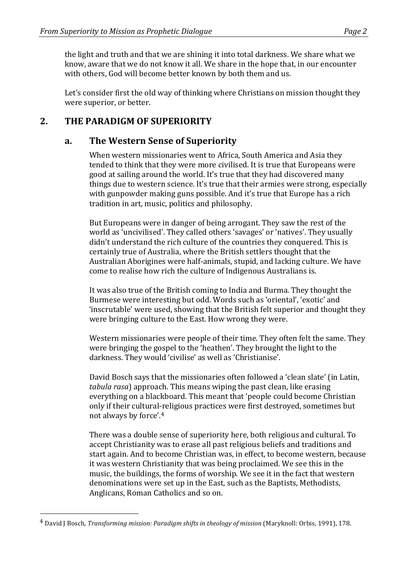the light and truth and that we are shining it into total darkness. We share what we know, aware that we do not know it all. We share in the hope that, in our encounter with others, God will become better known by both them and us.

Let's consider first the old way of thinking where Christians on mission thought they were superior, or better.

## 2. **THE PARADIGM OF SUPERIORITY**

#### **a. The Western Sense of Superiority**

When western missionaries went to Africa, South America and Asia they tended to think that they were more civilised. It is true that Europeans were good at sailing around the world. It's true that they had discovered many things due to western science. It's true that their armies were strong, especially with gunpowder making guns possible. And it's true that Europe has a rich tradition in art, music, politics and philosophy.

But Europeans were in danger of being arrogant. They saw the rest of the world as 'uncivilised'. They called others 'savages' or 'natives'. They usually didn't understand the rich culture of the countries they conquered. This is certainly true of Australia, where the British settlers thought that the Australian Aborigines were half-animals, stupid, and lacking culture. We have come to realise how rich the culture of Indigenous Australians is.

It was also true of the British coming to India and Burma. They thought the Burmese were interesting but odd. Words such as 'oriental', 'exotic' and 'inscrutable' were used, showing that the British felt superior and thought they were bringing culture to the East. How wrong they were.

Western missionaries were people of their time. They often felt the same. They were bringing the gospel to the 'heathen'. They brought the light to the darkness. They would 'civilise' as well as 'Christianise'.

David Bosch says that the missionaries often followed a 'clean slate' (in Latin, *tabula rasa*) approach. This means wiping the past clean, like erasing everything on a blackboard. This meant that 'people could become Christian only if their cultural-religious practices were first destroyed, sometimes but not always by force'.<sup>4</sup>

There was a double sense of superiority here, both religious and cultural. To accept Christianity was to erase all past religious beliefs and traditions and start again. And to become Christian was, in effect, to become western, because it was western Christianity that was being proclaimed. We see this in the music, the buildings, the forms of worship. We see it in the fact that western denominations were set up in the East, such as the Baptists, Methodists, Anglicans, Roman Catholics and so on.

<sup>&</sup>lt;sup>4</sup> David J Bosch, *Transforming mission: Paradigm shifts in theology of mission* (Maryknoll: Orbis, 1991), 178.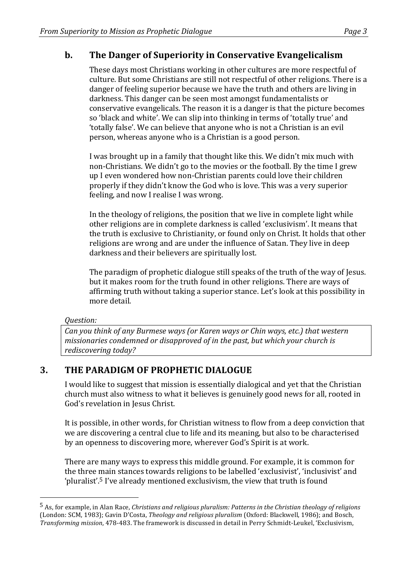## **b.** The Danger of Superiority in Conservative Evangelicalism

These days most Christians working in other cultures are more respectful of culture. But some Christians are still not respectful of other religions. There is a danger of feeling superior because we have the truth and others are living in darkness. This danger can be seen most amongst fundamentalists or conservative evangelicals. The reason it is a danger is that the picture becomes so 'black and white'. We can slip into thinking in terms of 'totally true' and 'totally false'. We can believe that anyone who is not a Christian is an evil person, whereas anyone who is a Christian is a good person.

I was brought up in a family that thought like this. We didn't mix much with non-Christians. We didn't go to the movies or the football. By the time I grew up I even wondered how non-Christian parents could love their children properly if they didn't know the God who is love. This was a very superior feeling, and now I realise I was wrong.

In the theology of religions, the position that we live in complete light while other religions are in complete darkness is called 'exclusivism'. It means that the truth is exclusive to Christianity, or found only on Christ. It holds that other religions are wrong and are under the influence of Satan. They live in deep darkness and their believers are spiritually lost.

The paradigm of prophetic dialogue still speaks of the truth of the way of Jesus. but it makes room for the truth found in other religions. There are ways of affirming truth without taking a superior stance. Let's look at this possibility in more detail.

*Question:*

 

*Can you think of any Burmese ways (or Karen ways or Chin ways, etc.) that western missionaries condemned or disapproved of in the past, but which your church is* rediscovering today?

## **3. THE PARADIGM OF PROPHETIC DIALOGUE**

I would like to suggest that mission is essentially dialogical and yet that the Christian church must also witness to what it believes is genuinely good news for all, rooted in God's revelation in Jesus Christ.

It is possible, in other words, for Christian witness to flow from a deep conviction that we are discovering a central clue to life and its meaning, but also to be characterised by an openness to discovering more, wherever God's Spirit is at work.

There are many ways to express this middle ground. For example, it is common for the three main stances towards religions to be labelled 'exclusivist', 'inclusivist' and 'pluralist'.<sup>5</sup> I've already mentioned exclusivism, the view that truth is found

<sup>&</sup>lt;sup>5</sup> As, for example, in Alan Race, *Christians and religious pluralism: Patterns in the Christian theology of religions* (London: SCM, 1983); Gavin D'Costa, *Theology and religious pluralism* (Oxford: Blackwell, 1986); and Bosch, *Transforming mission*, 478-483. The framework is discussed in detail in Perry Schmidt-Leukel, 'Exclusivism,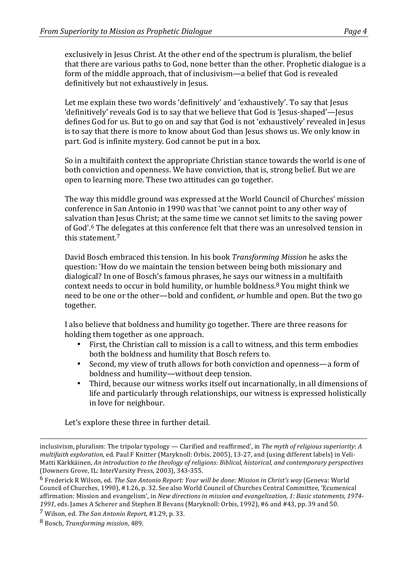exclusively in Jesus Christ. At the other end of the spectrum is pluralism, the belief that there are various paths to God, none better than the other. Prophetic dialogue is a form of the middle approach, that of inclusivism—a belief that God is revealed definitively but not exhaustively in Jesus.

Let me explain these two words 'definitively' and 'exhaustively'. To say that Jesus 'definitively' reveals God is to say that we believe that God is 'Jesus-shaped'—Jesus defines God for us. But to go on and say that God is not 'exhaustively' revealed in Jesus is to say that there is more to know about God than Jesus shows us. We only know in part. God is infinite mystery. God cannot be put in a box.

So in a multifaith context the appropriate Christian stance towards the world is one of both conviction and openness. We have conviction, that is, strong belief. But we are open to learning more. These two attitudes can go together.

The way this middle ground was expressed at the World Council of Churches' mission conference in San Antonio in 1990 was that 'we cannot point to any other way of salvation than Jesus Christ; at the same time we cannot set limits to the saving power of God'.<sup>6</sup> The delegates at this conference felt that there was an unresolved tension in this statement.<sup>7</sup>

David Bosch embraced this tension. In his book *Transforming Mission* he asks the question: 'How do we maintain the tension between being both missionary and dialogical? In one of Bosch's famous phrases, he says our witness in a multifaith context needs to occur in bold humility, or humble boldness.<sup>8</sup> You might think we need to be one or the other—bold and confident, *or* humble and open. But the two go together.

I also believe that boldness and humility go together. There are three reasons for holding them together as one approach.

- First, the Christian call to mission is a call to witness, and this term embodies both the boldness and humility that Bosch refers to.
- Second, my view of truth allows for both conviction and openness—a form of boldness and humility—without deep tension.
- Third, because our witness works itself out incarnationally, in all dimensions of life and particularly through relationships, our witness is expressed holistically in love for neighbour.

Let's explore these three in further detail.

<u> 1989 - Andrea Santa Andrea Andrea Andrea Andrea Andrea Andrea Andrea Andrea Andrea Andrea Andrea Andrea Andr</u>

inclusivism, pluralism: The tripolar typology — Clarified and reaffirmed', in *The myth of religious superiority: A multifaith exploration*, ed. Paul F Knitter (Maryknoll: Orbis, 2005), 13-27, and (using different labels) in Veli-Matti Kärkkäinen, *An introduction to the theology of religions: Biblical, historical, and contemporary perspectives* (Downers Grove, IL: InterVarsity Press, 2003), 343-355.

<sup>&</sup>lt;sup>6</sup> Frederick R Wilson, ed. The San Antonio Report: Your will be done: Mission in Christ's way (Geneva: World Council of Churches, 1990), #1.26, p. 32. See also World Council of Churches Central Committee, 'Ecumenical affirmation: Mission and evangelism', in *New directions in mission and evangelization, 1: Basic statements, 1974-*1991, eds. James A Scherer and Stephen B Bevans (Maryknoll: Orbis, 1992), #6 and #43, pp. 39 and 50.

<sup>7</sup> Wilson, ed. *The San Antonio Report*, #1.29, p. 33.

<sup>8</sup> Bosch, *Transforming mission*, 489.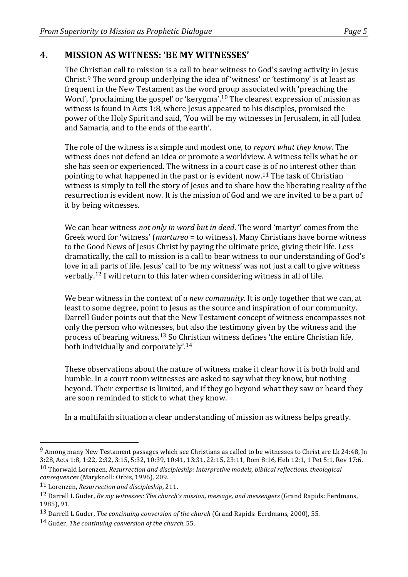### **4. MISSION AS WITNESS: 'BE MY WITNESSES'**

The Christian call to mission is a call to bear witness to God's saving activity in Jesus Christ.<sup>9</sup> The word group underlying the idea of 'witness' or 'testimony' is at least as frequent in the New Testament as the word group associated with 'preaching the Word', 'proclaiming the gospel' or 'kerygma'.<sup>10</sup> The clearest expression of mission as witness is found in Acts 1:8, where Jesus appeared to his disciples, promised the power of the Holy Spirit and said, 'You will be my witnesses in Jerusalem, in all Judea and Samaria, and to the ends of the earth'.

The role of the witness is a simple and modest one, to *report what they know*. The witness does not defend an idea or promote a worldview. A witness tells what he or she has seen or experienced. The witness in a court case is of no interest other than pointing to what happened in the past or is evident now.<sup>11</sup> The task of Christian witness is simply to tell the story of Jesus and to share how the liberating reality of the resurrection is evident now. It is the mission of God and we are invited to be a part of it by being witnesses.

We can bear witness *not only in word but in deed*. The word 'martyr' comes from the Greek word for 'witness' (*martureo* = to witness). Many Christians have borne witness to the Good News of Jesus Christ by paying the ultimate price, giving their life. Less dramatically, the call to mission is a call to bear witness to our understanding of God's love in all parts of life. Jesus' call to 'be my witness' was not just a call to give witness verbally.<sup>12</sup> I will return to this later when considering witness in all of life.

We bear witness in the context of *a new community*. It is only together that we can, at least to some degree, point to Jesus as the source and inspiration of our community. Darrell Guder points out that the New Testament concept of witness encompasses not only the person who witnesses, but also the testimony given by the witness and the process of bearing witness.<sup>13</sup> So Christian witness defines 'the entire Christian life, both individually and corporately'.<sup>14</sup>

These observations about the nature of witness make it clear how it is both bold and humble. In a court room witnesses are asked to say what they know, but nothing beyond. Their expertise is limited, and if they go beyond what they saw or heard they are soon reminded to stick to what they know.

In a multifaith situation a clear understanding of mission as witness helps greatly.

 $9$  Among many New Testament passages which see Christians as called to be witnesses to Christ are Lk 24:48, In 3:28, Acts 1:8, 1:22, 2:32, 3:15, 5:32, 10:39, 10:41, 13:31, 22:15, 23:11, Rom 8:16, Heb 12:1, 1 Pet 5:1, Rev 17:6.

<sup>&</sup>lt;sup>10</sup> Thorwald Lorenzen, *Resurrection and discipleship: Interpretive models, biblical reflections, theological consequences* (Maryknoll: Orbis, 1996), 209.

<sup>11</sup> Lorenzen, *Resurrection and discipleship*, 211.

<sup>&</sup>lt;sup>12</sup> Darrell L Guder, *Be my witnesses: The church's mission, message, and messengers* (Grand Rapids: Eerdmans, 1985), 91.

<sup>&</sup>lt;sup>13</sup> Darrell L Guder, *The continuing conversion of the church* (Grand Rapids: Eerdmans, 2000), 55.

<sup>14</sup> Guder, *The continuing conversion of the church*, 55.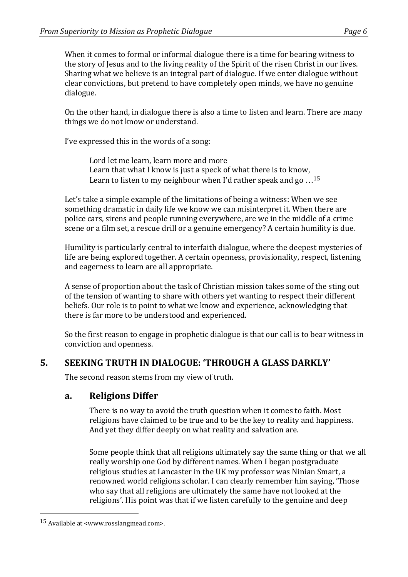the story of Jesus and to the living reality of the Spirit of the risen Christ in our lives. Sharing what we believe is an integral part of dialogue. If we enter dialogue without clear convictions, but pretend to have completely open minds, we have no genuine dialogue.

On the other hand, in dialogue there is also a time to listen and learn. There are many things we do not know or understand.

I've expressed this in the words of a song:

Lord let me learn, learn more and more Learn that what I know is just a speck of what there is to know, Learn to listen to my neighbour when I'd rather speak and go  $\dots$ <sup>15</sup>

Let's take a simple example of the limitations of being a witness: When we see something dramatic in daily life we know we can misinterpret it. When there are police cars, sirens and people running everywhere, are we in the middle of a crime scene or a film set, a rescue drill or a genuine emergency? A certain humility is due.

Humility is particularly central to interfaith dialogue, where the deepest mysteries of life are being explored together. A certain openness, provisionality, respect, listening and eagerness to learn are all appropriate.

A sense of proportion about the task of Christian mission takes some of the sting out of the tension of wanting to share with others yet wanting to respect their different beliefs. Our role is to point to what we know and experience, acknowledging that there is far more to be understood and experienced.

So the first reason to engage in prophetic dialogue is that our call is to bear witness in conviction and openness.

## **5. SEEKING TRUTH IN DIALOGUE: 'THROUGH A GLASS DARKLY'**

The second reason stems from my view of truth.

## **a. Religions Differ**

There is no way to avoid the truth question when it comes to faith. Most religions have claimed to be true and to be the key to reality and happiness. And yet they differ deeply on what reality and salvation are.

Some people think that all religions ultimately say the same thing or that we all really worship one God by different names. When I began postgraduate religious studies at Lancaster in the UK my professor was Ninian Smart, a renowned world religions scholar. I can clearly remember him saying, 'Those who say that all religions are ultimately the same have not looked at the religions'. His point was that if we listen carefully to the genuine and deep

 $15$  Available at <www.rosslangmead.com>.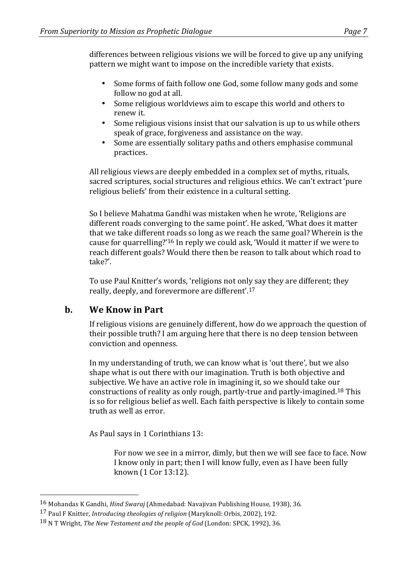differences between religious visions we will be forced to give up any unifying pattern we might want to impose on the incredible variety that exists.

- Some forms of faith follow one God, some follow many gods and some follow no god at all.
- Some religious worldviews aim to escape this world and others to renew it.
- Some religious visions insist that our salvation is up to us while others speak of grace, forgiveness and assistance on the way.
- Some are essentially solitary paths and others emphasise communal practices.

All religious views are deeply embedded in a complex set of myths, rituals, sacred scriptures, social structures and religious ethics. We can't extract 'pure religious beliefs' from their existence in a cultural setting.

So I believe Mahatma Gandhi was mistaken when he wrote, 'Religions are different roads converging to the same point'. He asked, 'What does it matter that we take different roads so long as we reach the same goal? Wherein is the cause for quarrelling?'<sup>16</sup> In reply we could ask, 'Would it matter if we were to reach different goals? Would there then be reason to talk about which road to take?'.

To use Paul Knitter's words, 'religions not only say they are different; they really, deeply, and forevermore are different'.<sup>17</sup>

## **b. We Know in Part**

 

If religious visions are genuinely different, how do we approach the question of their possible truth? I am arguing here that there is no deep tension between conviction and openness.

In my understanding of truth, we can know what is 'out there', but we also shape what is out there with our imagination. Truth is both objective and subjective. We have an active role in imagining it, so we should take our constructions of reality as only rough, partly-true and partly-imagined.<sup>18</sup> This is so for religious belief as well. Each faith perspective is likely to contain some truth as well as error.

As Paul says in 1 Corinthians 13:

For now we see in a mirror, dimly, but then we will see face to face. Now I know only in part; then I will know fully, even as I have been fully known (1 Cor 13:12).

<sup>&</sup>lt;sup>16</sup> Mohandas K Gandhi, *Hind Swaraj* (Ahmedabad: Navajivan Publishing House, 1938), 36.

<sup>&</sup>lt;sup>17</sup> Paul F Knitter, *Introducing theologies of religion* (Maryknoll: Orbis, 2002), 192.

<sup>&</sup>lt;sup>18</sup> N T Wright, *The New Testament and the people of God* (London: SPCK, 1992), 36.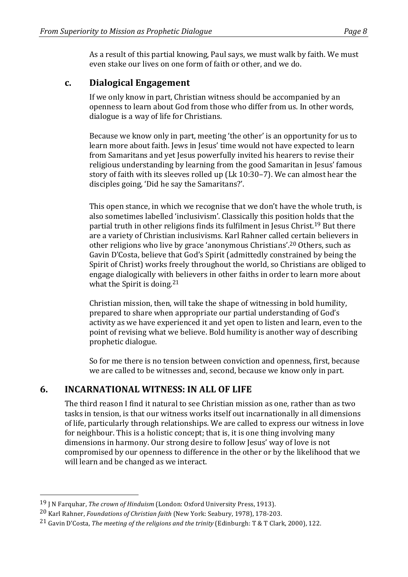As a result of this partial knowing, Paul says, we must walk by faith. We must even stake our lives on one form of faith or other, and we do.

#### **c. Dialogical Engagement**

If we only know in part, Christian witness should be accompanied by an openness to learn about God from those who differ from us. In other words, dialogue is a way of life for Christians.

Because we know only in part, meeting 'the other' is an opportunity for us to learn more about faith. Jews in Jesus' time would not have expected to learn from Samaritans and vet Jesus powerfully invited his hearers to revise their religious understanding by learning from the good Samaritan in Jesus' famous story of faith with its sleeves rolled up (Lk  $10:30-7$ ). We can almost hear the disciples going. 'Did he say the Samaritans?'.

This open stance, in which we recognise that we don't have the whole truth, is also sometimes labelled 'inclusivism'. Classically this position holds that the partial truth in other religions finds its fulfilment in Jesus Christ.<sup>19</sup> But there are a variety of Christian inclusivisms. Karl Rahner called certain believers in other religions who live by grace 'anonymous Christians'.<sup>20</sup> Others, such as Gavin D'Costa, believe that God's Spirit (admittedly constrained by being the Spirit of Christ) works freely throughout the world, so Christians are obliged to engage dialogically with believers in other faiths in order to learn more about what the Spirit is doing.<sup>21</sup>

Christian mission, then, will take the shape of witnessing in bold humility, prepared to share when appropriate our partial understanding of God's activity as we have experienced it and yet open to listen and learn, even to the point of revising what we believe. Bold humility is another way of describing prophetic dialogue.

So for me there is no tension between conviction and openness, first, because we are called to be witnesses and, second, because we know only in part.

#### **6. INCARNATIONAL WITNESS: IN ALL OF LIFE**

The third reason I find it natural to see Christian mission as one, rather than as two tasks in tension, is that our witness works itself out incarnationally in all dimensions of life, particularly through relationships. We are called to express our witness in love for neighbour. This is a holistic concept; that is, it is one thing involving many dimensions in harmony. Our strong desire to follow Jesus' way of love is not compromised by our openness to difference in the other or by the likelihood that we will learn and be changed as we interact.

<sup>&</sup>lt;sup>19</sup> J N Farquhar, *The crown of Hinduism* (London: Oxford University Press, 1913).

<sup>&</sup>lt;sup>20</sup> Karl Rahner, *Foundations of Christian faith* (New York: Seabury, 1978), 178-203.

<sup>&</sup>lt;sup>21</sup> Gavin D'Costa, *The meeting of the religions and the trinity* (Edinburgh: T & T Clark, 2000), 122.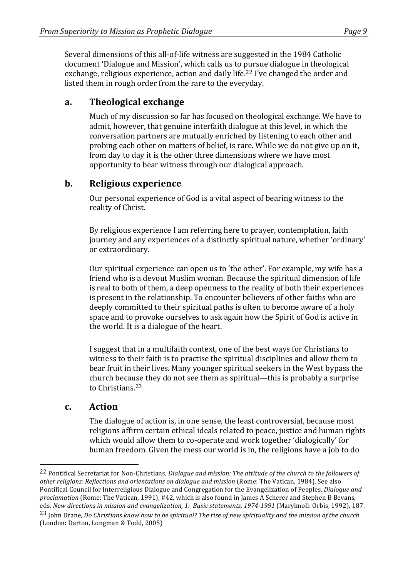Several dimensions of this all-of-life witness are suggested in the 1984 Catholic document 'Dialogue and Mission', which calls us to pursue dialogue in theological exchange, religious experience, action and daily life.<sup>22</sup> I've changed the order and listed them in rough order from the rare to the everyday.

#### **a. Theological exchange**

Much of my discussion so far has focused on theological exchange. We have to admit, however, that genuine interfaith dialogue at this level, in which the conversation partners are mutually enriched by listening to each other and probing each other on matters of belief, is rare. While we do not give up on it, from day to day it is the other three dimensions where we have most opportunity to bear witness through our dialogical approach.

### **b.** Religious experience

Our personal experience of God is a vital aspect of bearing witness to the reality of Christ.

By religious experience I am referring here to prayer, contemplation, faith journey and any experiences of a distinctly spiritual nature, whether 'ordinary' or extraordinary.

Our spiritual experience can open us to 'the other'. For example, my wife has a friend who is a devout Muslim woman. Because the spiritual dimension of life is real to both of them, a deep openness to the reality of both their experiences is present in the relationship. To encounter believers of other faiths who are deeply committed to their spiritual paths is often to become aware of a holy space and to provoke ourselves to ask again how the Spirit of God is active in the world. It is a dialogue of the heart.

I suggest that in a multifaith context, one of the best ways for Christians to witness to their faith is to practise the spiritual disciplines and allow them to bear fruit in their lives. Many younger spiritual seekers in the West bypass the church because they do not see them as spiritual—this is probably a surprise to Christians.<sup>23</sup>

#### **c. Action**

 

The dialogue of action is, in one sense, the least controversial, because most religions affirm certain ethical ideals related to peace, justice and human rights which would allow them to co-operate and work together 'dialogically' for human freedom. Given the mess our world is in, the religions have a job to do

<sup>&</sup>lt;sup>22</sup> Pontifical Secretariat for Non-Christians, *Dialogue and mission: The attitude of the church to the followers of other religions: Reflections and orientations on dialogue and mission* (Rome: The Vatican, 1984). See also Pontifical Council for Interreligious Dialogue and Congregation for the Evangelization of Peoples, *Dialogue and proclamation* (Rome: The Vatican, 1991), #42, which is also found in James A Scherer and Stephen B Bevans, eds. *New directions in mission and evangelization, 1: Basic statements, 1974-1991* (Maryknoll: Orbis, 1992), 187.

<sup>&</sup>lt;sup>23</sup> John Drane, *Do Christians know how to be spiritual? The rise of new spirituality and the mission of the church* (London: Darton, Longman & Todd, 2005)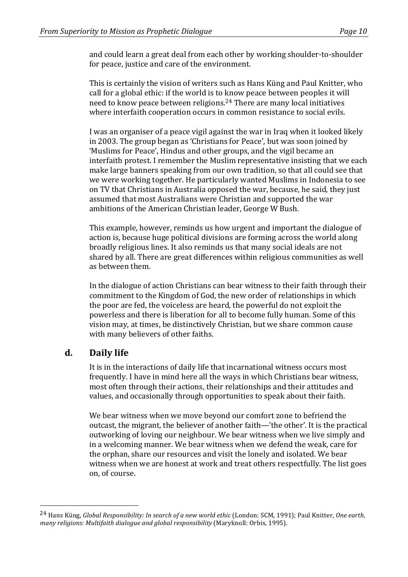and could learn a great deal from each other by working shoulder-to-shoulder for peace, justice and care of the environment.

This is certainly the vision of writers such as Hans Küng and Paul Knitter, who call for a global ethic: if the world is to know peace between peoples it will need to know peace between religions.<sup>24</sup> There are many local initiatives where interfaith cooperation occurs in common resistance to social evils.

I was an organiser of a peace vigil against the war in Iraq when it looked likely in 2003. The group began as 'Christians for Peace', but was soon joined by 'Muslims for Peace', Hindus and other groups, and the vigil became an interfaith protest. I remember the Muslim representative insisting that we each make large banners speaking from our own tradition, so that all could see that we were working together. He particularly wanted Muslims in Indonesia to see on TV that Christians in Australia opposed the war, because, he said, they just assumed that most Australians were Christian and supported the war ambitions of the American Christian leader, George W Bush.

This example, however, reminds us how urgent and important the dialogue of action is, because huge political divisions are forming across the world along broadly religious lines. It also reminds us that many social ideals are not shared by all. There are great differences within religious communities as well as between them.

In the dialogue of action Christians can bear witness to their faith through their commitment to the Kingdom of God, the new order of relationships in which the poor are fed, the voiceless are heard, the powerful do not exploit the powerless and there is liberation for all to become fully human. Some of this vision may, at times, be distinctively Christian, but we share common cause with many believers of other faiths.

## **d. Daily life**

 

It is in the interactions of daily life that incarnational witness occurs most frequently. I have in mind here all the ways in which Christians bear witness, most often through their actions, their relationships and their attitudes and values, and occasionally through opportunities to speak about their faith.

We bear witness when we move beyond our comfort zone to befriend the outcast, the migrant, the believer of another faith—'the other'. It is the practical outworking of loving our neighbour. We bear witness when we live simply and in a welcoming manner. We bear witness when we defend the weak, care for the orphan, share our resources and visit the lonely and isolated. We bear witness when we are honest at work and treat others respectfully. The list goes on, of course.

<sup>&</sup>lt;sup>24</sup> Hans Küng, *Global Responsibility: In search of a new world ethic* (London: SCM, 1991); Paul Knitter, *One earth*, *many religions: Multifaith dialogue and alobal responsibility* (Maryknoll: Orbis, 1995).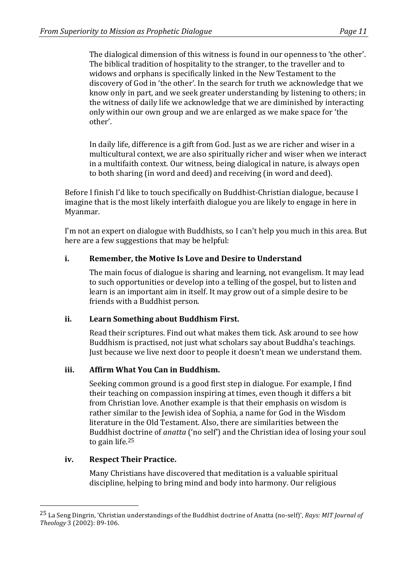The dialogical dimension of this witness is found in our openness to 'the other'. The biblical tradition of hospitality to the stranger, to the traveller and to widows and orphans is specifically linked in the New Testament to the discovery of God in 'the other'. In the search for truth we acknowledge that we know only in part, and we seek greater understanding by listening to others; in the witness of daily life we acknowledge that we are diminished by interacting only within our own group and we are enlarged as we make space for 'the other'. 

In daily life, difference is a gift from God. Just as we are richer and wiser in a multicultural context, we are also spiritually richer and wiser when we interact in a multifaith context. Our witness, being dialogical in nature, is always open to both sharing (in word and deed) and receiving (in word and deed).

Before I finish I'd like to touch specifically on Buddhist-Christian dialogue, because I imagine that is the most likely interfaith dialogue you are likely to engage in here in Myanmar.

I'm not an expert on dialogue with Buddhists, so I can't help you much in this area. But here are a few suggestions that may be helpful:

#### **i. Remember, the Motive Is Love and Desire to Understand**

The main focus of dialogue is sharing and learning, not evangelism. It may lead to such opportunities or develop into a telling of the gospel, but to listen and learn is an important aim in itself. It may grow out of a simple desire to be friends with a Buddhist person.

#### **ii. Learn Something about Buddhism First.**

Read their scriptures. Find out what makes them tick. Ask around to see how Buddhism is practised, not just what scholars say about Buddha's teachings. Just because we live next door to people it doesn't mean we understand them.

#### **iii. Affirm What You Can in Buddhism.**

Seeking common ground is a good first step in dialogue. For example, I find their teaching on compassion inspiring at times, even though it differs a bit from Christian love. Another example is that their emphasis on wisdom is rather similar to the Jewish idea of Sophia, a name for God in the Wisdom literature in the Old Testament. Also, there are similarities between the Buddhist doctrine of *anatta* ('no self') and the Christian idea of losing your soul to gain life. $25$ 

#### **iv. Respect Their Practice.**

 

Many Christians have discovered that meditation is a valuable spiritual discipline, helping to bring mind and body into harmony. Our religious

<sup>&</sup>lt;sup>25</sup> La Seng Dingrin, 'Christian understandings of the Buddhist doctrine of Anatta (no-self)', *Rays: MIT Journal of Theology* 3 (2002): 89-106.